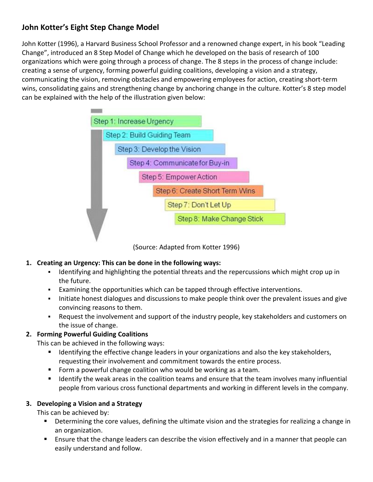# **John Kotter's Eight Step Change Model**

John Kotter (1996), a Harvard Business School Professor and a renowned change expert, in his book "Leading Change", introduced an 8 Step Model of Change which he developed on the basis of research of 100 organizations which were going through a process of change. The 8 steps in the process of change include: creating a sense of urgency, forming powerful guiding coalitions, developing a vision and a strategy, communicating the vision, removing obstacles and empowering employees for action, creating short-term wins, consolidating gains and strengthening change by anchoring change in the culture. Kotter's 8 step model can be explained with the help of the illustration given below:



(Source: Adapted from Kotter 1996)

# **1. Creating an Urgency: This can be done in the following ways:**

- Identifying and highlighting the potential threats and the repercussions which might crop up in the future.
- Examining the opportunities which can be tapped through effective interventions.
- Initiate honest dialogues and discussions to make people think over the prevalent issues and give convincing reasons to them.
- Request the involvement and support of the industry people, key stakeholders and customers on the issue of change.

# **2. Forming Powerful Guiding Coalitions**

This can be achieved in the following ways:

- **IDENTIFY 11 Identifying the effective change leaders in your organizations and also the key stakeholders,** requesting their involvement and commitment towards the entire process.
- Form a powerful change coalition who would be working as a team.
- Identify the weak areas in the coalition teams and ensure that the team involves many influential people from various cross functional departments and working in different levels in the company.

# **3. Developing a Vision and a Strategy**

This can be achieved by:

- **Determining the core values, defining the ultimate vision and the strategies for realizing a change in** an organization.
- **EXEL Ensure that the change leaders can describe the vision effectively and in a manner that people can** easily understand and follow.